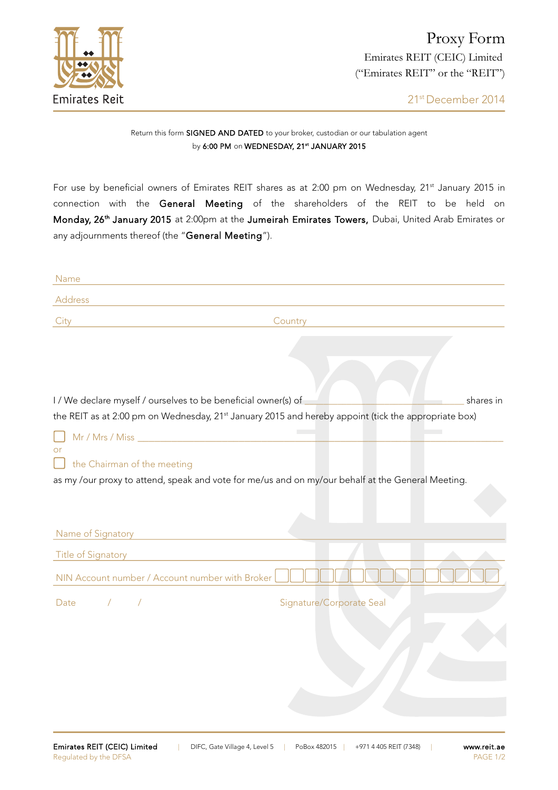

## Return this form SIGNED AND DATED to your broker, custodian or our tabulation agent by 6:00 PM on WEDNESDAY, 21st JANUARY 2015

For use by beneficial owners of Emirates REIT shares as at 2:00 pm on Wednesday, 21<sup>st</sup> January 2015 in connection with the General Meeting of the shareholders of the REIT to be held on Monday, 26<sup>th</sup> January 2015 at 2:00pm at the Jumeirah Emirates Towers, Dubai, United Arab Emirates or any adjournments thereof (the "General Meeting").

| Name                                                                                                                                                                                            |  |
|-------------------------------------------------------------------------------------------------------------------------------------------------------------------------------------------------|--|
| Address                                                                                                                                                                                         |  |
| City<br>Country                                                                                                                                                                                 |  |
|                                                                                                                                                                                                 |  |
|                                                                                                                                                                                                 |  |
|                                                                                                                                                                                                 |  |
|                                                                                                                                                                                                 |  |
| I / We declare myself / ourselves to be beneficial owner(s) of<br>shares in<br>the REIT as at 2:00 pm on Wednesday, 21 <sup>st</sup> January 2015 and hereby appoint (tick the appropriate box) |  |
|                                                                                                                                                                                                 |  |
| or                                                                                                                                                                                              |  |
| the Chairman of the meeting                                                                                                                                                                     |  |
| as my /our proxy to attend, speak and vote for me/us and on my/our behalf at the General Meeting.                                                                                               |  |
|                                                                                                                                                                                                 |  |
|                                                                                                                                                                                                 |  |
| Name of Signatory                                                                                                                                                                               |  |
| <b>Title of Signatory</b>                                                                                                                                                                       |  |
| NIN Account number / Account number with Broker                                                                                                                                                 |  |
| $\sqrt{2}$<br>$\sqrt{2}$<br>Signature/Corporate Seal<br>Date                                                                                                                                    |  |
|                                                                                                                                                                                                 |  |
|                                                                                                                                                                                                 |  |
|                                                                                                                                                                                                 |  |
|                                                                                                                                                                                                 |  |
|                                                                                                                                                                                                 |  |
|                                                                                                                                                                                                 |  |
|                                                                                                                                                                                                 |  |